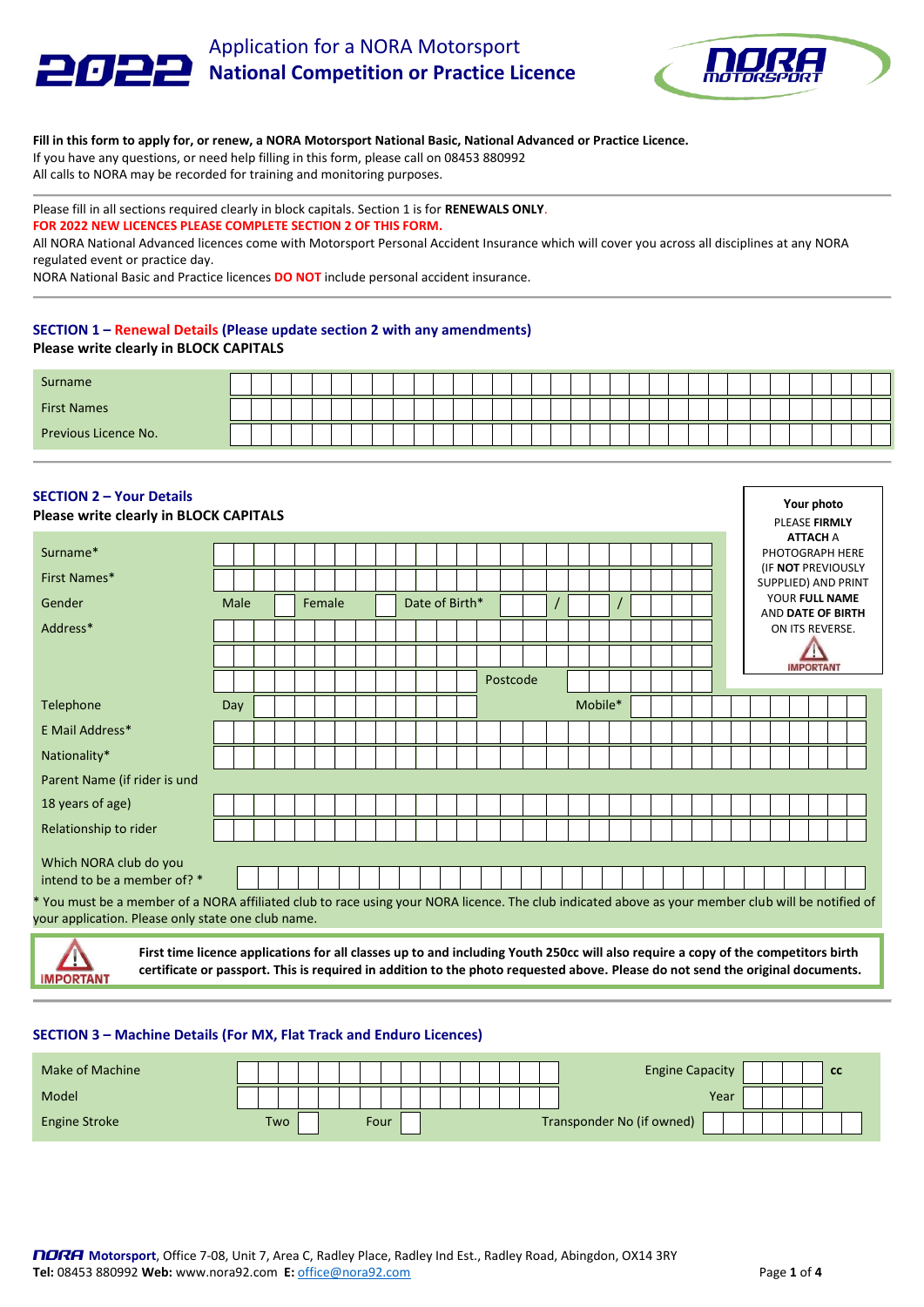# Application for a NORA Motorsport عرصر و **National Competition or Practice Licence**



**Your photo**

#### **Fill in this form to apply for, or renew, a NORA Motorsport National Basic, National Advanced or Practice Licence.**  If you have any questions, or need help filling in this form, please call on 08453 880992 All calls to NORA may be recorded for training and monitoring purposes.

## Please fill in all sections required clearly in block capitals. Section 1 is for **RENEWALS ONLY**. **FOR 2022 NEW LICENCES PLEASE COMPLETE SECTION 2 OF THIS FORM.**

All NORA National Advanced licences come with Motorsport Personal Accident Insurance which will cover you across all disciplines at any NORA regulated event or practice day.

NORA National Basic and Practice licences **DO NOT** include personal accident insurance.

# **SECTION 1 – Renewal Details (Please update section 2 with any amendments) Please write clearly in BLOCK CAPITALS**

| Surname              |  |  |  |  |  |  |  |  |  |  |  |  |  |  |  |  |  |
|----------------------|--|--|--|--|--|--|--|--|--|--|--|--|--|--|--|--|--|
| <b>First Names</b>   |  |  |  |  |  |  |  |  |  |  |  |  |  |  |  |  |  |
| Previous Licence No. |  |  |  |  |  |  |  |  |  |  |  |  |  |  |  |  |  |

# **SECTION 2 – Your Details**

**MPORTANT** 

| <b>Please write clearly in BLOCK CAPITALS</b>                                                                                                                                                            |      |  |        |  |  |                |  |          |  |         |  |  |  |  | PLEASE FIRMLY                                    |  |  |
|----------------------------------------------------------------------------------------------------------------------------------------------------------------------------------------------------------|------|--|--------|--|--|----------------|--|----------|--|---------|--|--|--|--|--------------------------------------------------|--|--|
| Surname*                                                                                                                                                                                                 |      |  |        |  |  |                |  |          |  |         |  |  |  |  | <b>ATTACH A</b><br>PHOTOGRAPH HERE               |  |  |
| First Names*                                                                                                                                                                                             |      |  |        |  |  |                |  |          |  |         |  |  |  |  | (IF NOT PREVIOUSLY<br><b>SUPPLIED) AND PRINT</b> |  |  |
| <b>Gender</b>                                                                                                                                                                                            | Male |  | Female |  |  | Date of Birth* |  |          |  |         |  |  |  |  | YOUR FULL NAME<br>AND DATE OF BIRTH              |  |  |
| Address*                                                                                                                                                                                                 |      |  |        |  |  |                |  |          |  |         |  |  |  |  | ON ITS REVERSE.                                  |  |  |
|                                                                                                                                                                                                          |      |  |        |  |  |                |  |          |  |         |  |  |  |  |                                                  |  |  |
|                                                                                                                                                                                                          |      |  |        |  |  |                |  | Postcode |  |         |  |  |  |  | <b>IMPORTANT</b>                                 |  |  |
| Telephone                                                                                                                                                                                                | Day  |  |        |  |  |                |  |          |  | Mobile* |  |  |  |  |                                                  |  |  |
| E Mail Address*                                                                                                                                                                                          |      |  |        |  |  |                |  |          |  |         |  |  |  |  |                                                  |  |  |
| Nationality*                                                                                                                                                                                             |      |  |        |  |  |                |  |          |  |         |  |  |  |  |                                                  |  |  |
| Parent Name (if rider is und                                                                                                                                                                             |      |  |        |  |  |                |  |          |  |         |  |  |  |  |                                                  |  |  |
| 18 years of age)                                                                                                                                                                                         |      |  |        |  |  |                |  |          |  |         |  |  |  |  |                                                  |  |  |
| Relationship to rider                                                                                                                                                                                    |      |  |        |  |  |                |  |          |  |         |  |  |  |  |                                                  |  |  |
| Which NORA club do you                                                                                                                                                                                   |      |  |        |  |  |                |  |          |  |         |  |  |  |  |                                                  |  |  |
| intend to be a member of? *                                                                                                                                                                              |      |  |        |  |  |                |  |          |  |         |  |  |  |  |                                                  |  |  |
| * You must be a member of a NORA affiliated club to race using your NORA licence. The club indicated above as your member club will be notified of<br>your application. Please only state one club name. |      |  |        |  |  |                |  |          |  |         |  |  |  |  |                                                  |  |  |
| First time licence applications for all classes up to and including Youth 250cc will also require a copy of the competitors birth                                                                        |      |  |        |  |  |                |  |          |  |         |  |  |  |  |                                                  |  |  |

### **SECTION 3 – Machine Details (For MX, Flat Track and Enduro Licences)**

| Make of Machine      |  |     |  |      |  |  |  |  | <b>Engine Capacity</b>    |  |  | <b>CC</b> |
|----------------------|--|-----|--|------|--|--|--|--|---------------------------|--|--|-----------|
| Model                |  |     |  |      |  |  |  |  | Year                      |  |  |           |
| <b>Engine Stroke</b> |  | Two |  | Four |  |  |  |  | Transponder No (if owned) |  |  |           |

**certificate or passport. This is required in addition to the photo requested above. Please do not send the original documents.**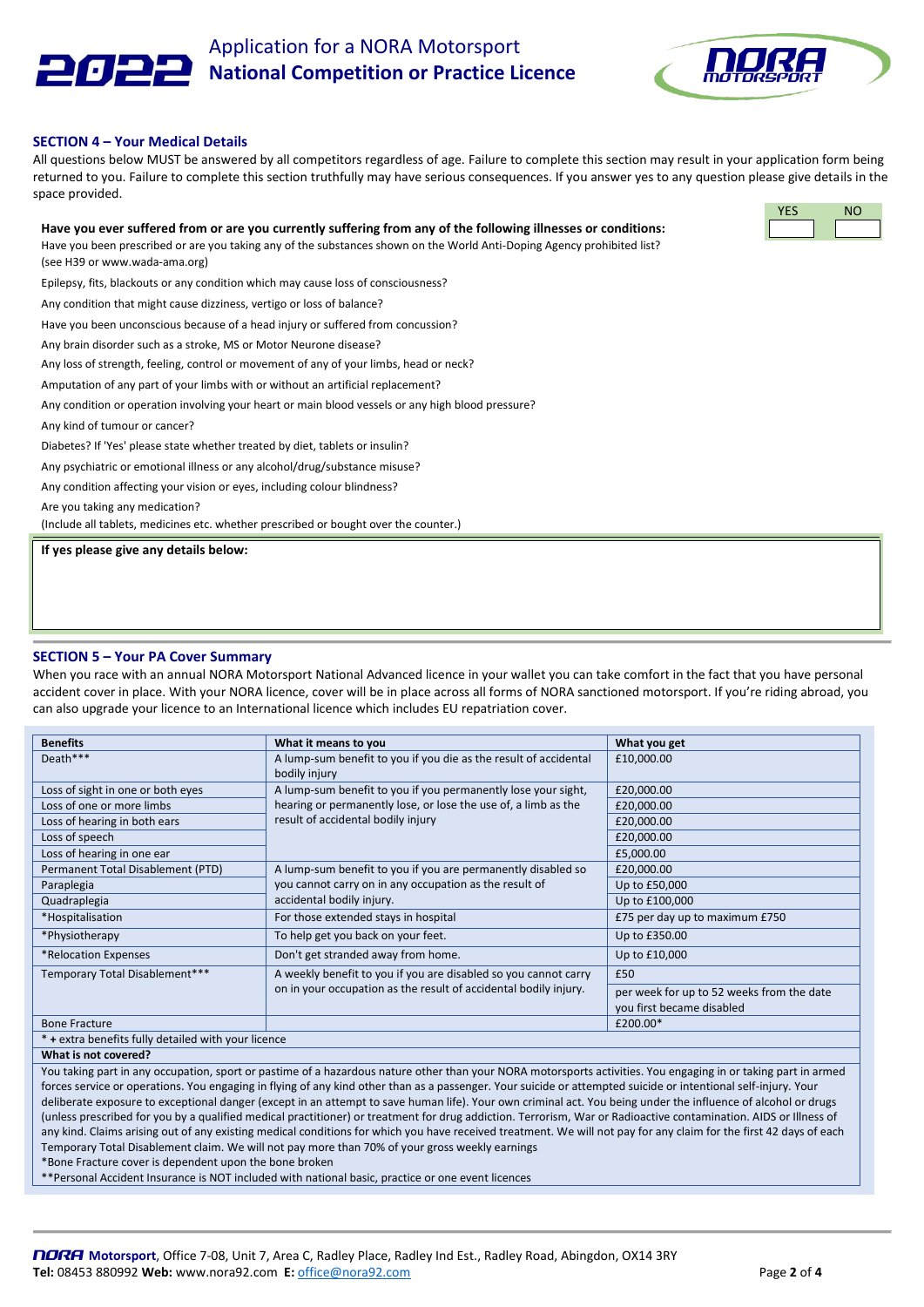

Application for a NORA Motorsport **National Competition or Practice Licence**



#### **SECTION 4 – Your Medical Details**

All questions below MUST be answered by all competitors regardless of age. Failure to complete this section may result in your application form being returned to you. Failure to complete this section truthfully may have serious consequences. If you answer yes to any question please give details in the space provided.

## **Have you ever suffered from or are you currently suffering from any of the following illnesses or conditions:**

Have you been prescribed or are you taking any of the substances shown on the World Anti-Doping Agency prohibited list? (see H39 or www.wada-ama.org)

Epilepsy, fits, blackouts or any condition which may cause loss of consciousness?

Any condition that might cause dizziness, vertigo or loss of balance?

Have you been unconscious because of a head injury or suffered from concussion?

Any brain disorder such as a stroke, MS or Motor Neurone disease?

Any loss of strength, feeling, control or movement of any of your limbs, head or neck?

Amputation of any part of your limbs with or without an artificial replacement?

Any condition or operation involving your heart or main blood vessels or any high blood pressure?

Any kind of tumour or cancer?

Diabetes? If 'Yes' please state whether treated by diet, tablets or insulin?

Any psychiatric or emotional illness or any alcohol/drug/substance misuse?

Any condition affecting your vision or eyes, including colour blindness?

Are you taking any medication?

(Include all tablets, medicines etc. whether prescribed or bought over the counter.)

**If yes please give any details below:**

## **SECTION 5 – Your PA Cover Summary**

When you race with an annual NORA Motorsport National Advanced licence in your wallet you can take comfort in the fact that you have personal accident cover in place. With your NORA licence, cover will be in place across all forms of NORA sanctioned motorsport. If you're riding abroad, you can also upgrade your licence to an International licence which includes EU repatriation cover.

| <b>Benefits</b>                                     | What it means to you                                             | What you get                              |
|-----------------------------------------------------|------------------------------------------------------------------|-------------------------------------------|
| Death***                                            | A lump-sum benefit to you if you die as the result of accidental | £10,000.00                                |
|                                                     | bodily injury                                                    |                                           |
| Loss of sight in one or both eyes                   | A lump-sum benefit to you if you permanently lose your sight,    | £20,000.00                                |
| Loss of one or more limbs                           | hearing or permanently lose, or lose the use of, a limb as the   | £20,000.00                                |
| Loss of hearing in both ears                        | result of accidental bodily injury                               | £20,000.00                                |
| Loss of speech                                      |                                                                  | £20,000.00                                |
| Loss of hearing in one ear                          |                                                                  | £5,000.00                                 |
| Permanent Total Disablement (PTD)                   | A lump-sum benefit to you if you are permanently disabled so     | £20,000.00                                |
| Paraplegia                                          | you cannot carry on in any occupation as the result of           | Up to £50,000                             |
| Quadraplegia                                        | accidental bodily injury.                                        | Up to £100,000                            |
| *Hospitalisation                                    | For those extended stays in hospital                             | £75 per day up to maximum £750            |
| *Physiotherapy                                      | To help get you back on your feet.                               | Up to £350.00                             |
| *Relocation Expenses                                | Don't get stranded away from home.                               | Up to £10,000                             |
| Temporary Total Disablement***                      | A weekly benefit to you if you are disabled so you cannot carry  | £50                                       |
|                                                     | on in your occupation as the result of accidental bodily injury. | per week for up to 52 weeks from the date |
|                                                     |                                                                  | you first became disabled                 |
| <b>Bone Fracture</b>                                |                                                                  | £200.00*                                  |
| * + extra benefits fully detailed with your licence |                                                                  |                                           |

**What is not covered?**

You taking part in any occupation, sport or pastime of a hazardous nature other than your NORA motorsports activities. You engaging in or taking part in armed forces service or operations. You engaging in flying of any kind other than as a passenger. Your suicide or attempted suicide or intentional self-injury. Your deliberate exposure to exceptional danger (except in an attempt to save human life). Your own criminal act. You being under the influence of alcohol or drugs (unless prescribed for you by a qualified medical practitioner) or treatment for drug addiction. Terrorism, War or Radioactive contamination. AIDS or Illness of any kind. Claims arising out of any existing medical conditions for which you have received treatment. We will not pay for any claim for the first 42 days of each Temporary Total Disablement claim. We will not pay more than 70% of your gross weekly earnings

\*Bone Fracture cover is dependent upon the bone broken

\*\*Personal Accident Insurance is NOT included with national basic, practice or one event licences

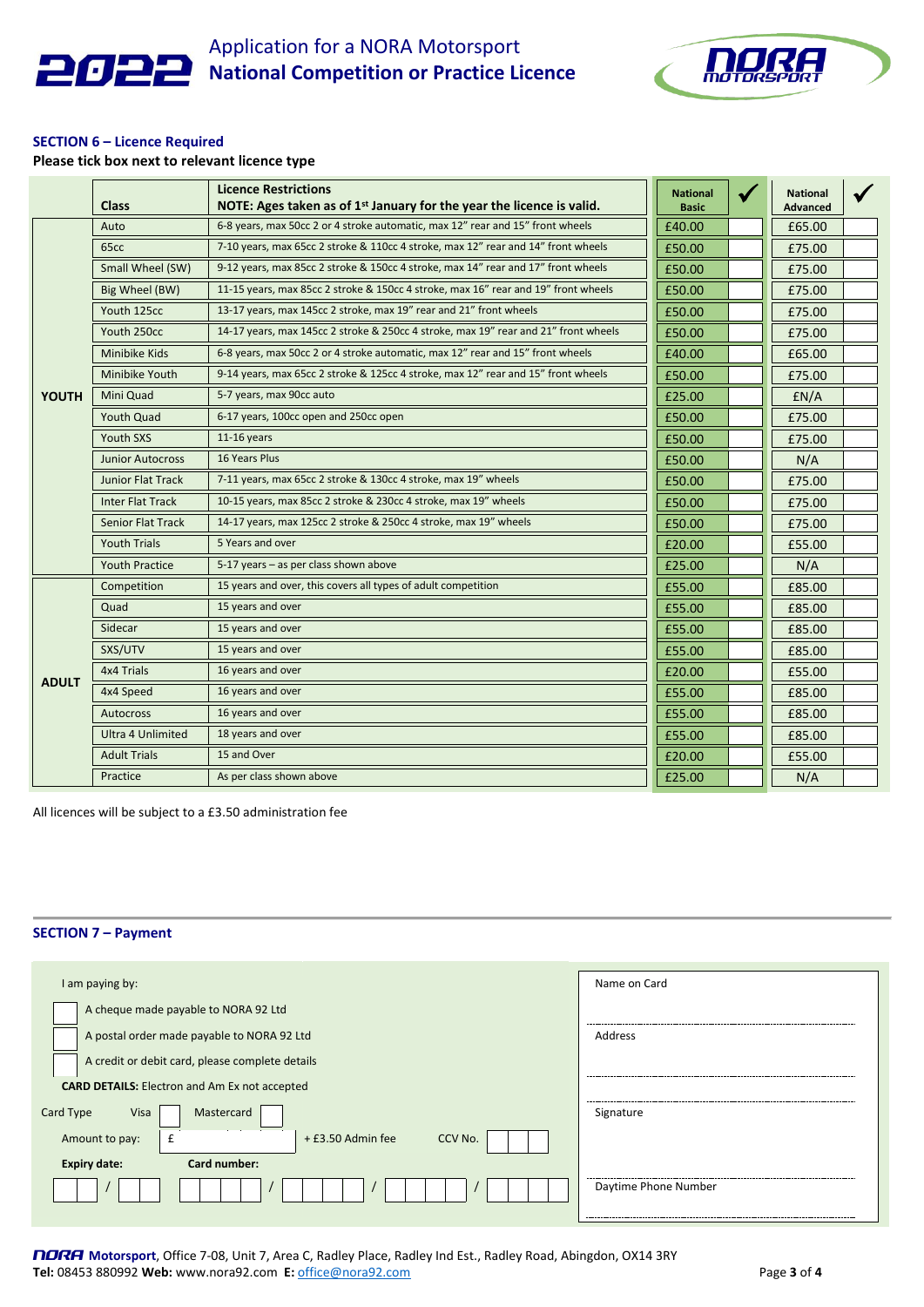

Application for a NORA Motorsport **National Competition or Practice Licence**



## **SECTION 6 – Licence Required**

**Please tick box next to relevant licence type**

|              | <b>Class</b>             | <b>Licence Restrictions</b><br>NOTE: Ages taken as of 1 <sup>st</sup> January for the year the licence is valid. | <b>National</b><br><b>Basic</b> | <b>National</b><br><b>Advanced</b> |  |
|--------------|--------------------------|------------------------------------------------------------------------------------------------------------------|---------------------------------|------------------------------------|--|
|              | Auto                     | 6-8 years, max 50cc 2 or 4 stroke automatic, max 12" rear and 15" front wheels                                   | £40.00                          | £65.00                             |  |
|              | 65cc                     | 7-10 years, max 65cc 2 stroke & 110cc 4 stroke, max 12" rear and 14" front wheels                                | £50.00                          | £75.00                             |  |
|              | Small Wheel (SW)         | 9-12 years, max 85cc 2 stroke & 150cc 4 stroke, max 14" rear and 17" front wheels                                | £50.00                          | £75.00                             |  |
|              | Big Wheel (BW)           | 11-15 years, max 85cc 2 stroke & 150cc 4 stroke, max 16" rear and 19" front wheels                               | £50.00                          | £75.00                             |  |
|              | Youth 125cc              | 13-17 years, max 145cc 2 stroke, max 19" rear and 21" front wheels                                               | £50.00                          | £75.00                             |  |
|              | Youth 250cc              | 14-17 years, max 145cc 2 stroke & 250cc 4 stroke, max 19" rear and 21" front wheels                              | £50.00                          | £75.00                             |  |
|              | Minibike Kids            | 6-8 years, max 50cc 2 or 4 stroke automatic, max 12" rear and 15" front wheels                                   | £40.00                          | £65.00                             |  |
|              | Minibike Youth           | 9-14 years, max 65cc 2 stroke & 125cc 4 stroke, max 12" rear and 15" front wheels                                | £50.00                          | £75.00                             |  |
| <b>YOUTH</b> | Mini Quad                | 5-7 years, max 90cc auto                                                                                         | £25.00                          | EN/A                               |  |
|              | <b>Youth Quad</b>        | 6-17 years, 100cc open and 250cc open                                                                            | £50.00                          | £75.00                             |  |
|              | Youth SXS                | $11-16$ years                                                                                                    | £50.00                          | £75.00                             |  |
|              | <b>Junior Autocross</b>  | 16 Years Plus                                                                                                    | £50.00                          | N/A                                |  |
|              | <b>Junior Flat Track</b> | 7-11 years, max 65cc 2 stroke & 130cc 4 stroke, max 19" wheels                                                   | £50.00                          | £75.00                             |  |
|              | <b>Inter Flat Track</b>  | 10-15 years, max 85cc 2 stroke & 230cc 4 stroke, max 19" wheels                                                  | £50.00                          | £75.00                             |  |
|              | <b>Senior Flat Track</b> | 14-17 years, max 125cc 2 stroke & 250cc 4 stroke, max 19" wheels                                                 | £50.00                          | £75.00                             |  |
|              | <b>Youth Trials</b>      | 5 Years and over                                                                                                 | £20.00                          | £55.00                             |  |
|              | <b>Youth Practice</b>    | 5-17 years - as per class shown above                                                                            | £25.00                          | N/A                                |  |
|              | Competition              | 15 years and over, this covers all types of adult competition                                                    | £55.00                          | £85.00                             |  |
|              | Quad                     | 15 years and over                                                                                                | £55.00                          | £85.00                             |  |
|              | Sidecar                  | 15 years and over                                                                                                | £55.00                          | £85.00                             |  |
|              | SXS/UTV                  | 15 years and over                                                                                                | £55.00                          | £85.00                             |  |
| <b>ADULT</b> | 4x4 Trials               | 16 years and over                                                                                                | £20.00                          | £55.00                             |  |
|              | 4x4 Speed                | 16 years and over                                                                                                | £55.00                          | £85.00                             |  |
|              | <b>Autocross</b>         | 16 years and over                                                                                                | £55.00                          | £85.00                             |  |
|              | <b>Ultra 4 Unlimited</b> | 18 years and over                                                                                                | £55.00                          | £85.00                             |  |
|              | <b>Adult Trials</b>      | 15 and Over                                                                                                      | £20.00                          | £55.00                             |  |
|              | Practice                 | As per class shown above                                                                                         | £25.00                          | N/A                                |  |

All licences will be subject to a £3.50 administration fee

## **SECTION 7 – Payment**

| I am paying by:                                      | Name on Card         |
|------------------------------------------------------|----------------------|
| A cheque made payable to NORA 92 Ltd                 |                      |
| A postal order made payable to NORA 92 Ltd           | Address              |
| A credit or debit card, please complete details      |                      |
| <b>CARD DETAILS:</b> Electron and Am Ex not accepted |                      |
| Card Type<br>Mastercard<br>Visa                      | Signature            |
| + £3.50 Admin fee<br>CCV No.<br>Amount to pay:<br>£  |                      |
| Card number:<br><b>Expiry date:</b>                  |                      |
|                                                      | Daytime Phone Number |
|                                                      |                      |

NORA **Motorsport**, Office 7-08, Unit 7, Area C, Radley Place, Radley Ind Est., Radley Road, Abingdon, OX14 3RY **Tel:** 08453 880992 **Web:** www.nora92.com **E:** [office@nora92.com](mailto:office@nora92.com) Page **3** of **4**